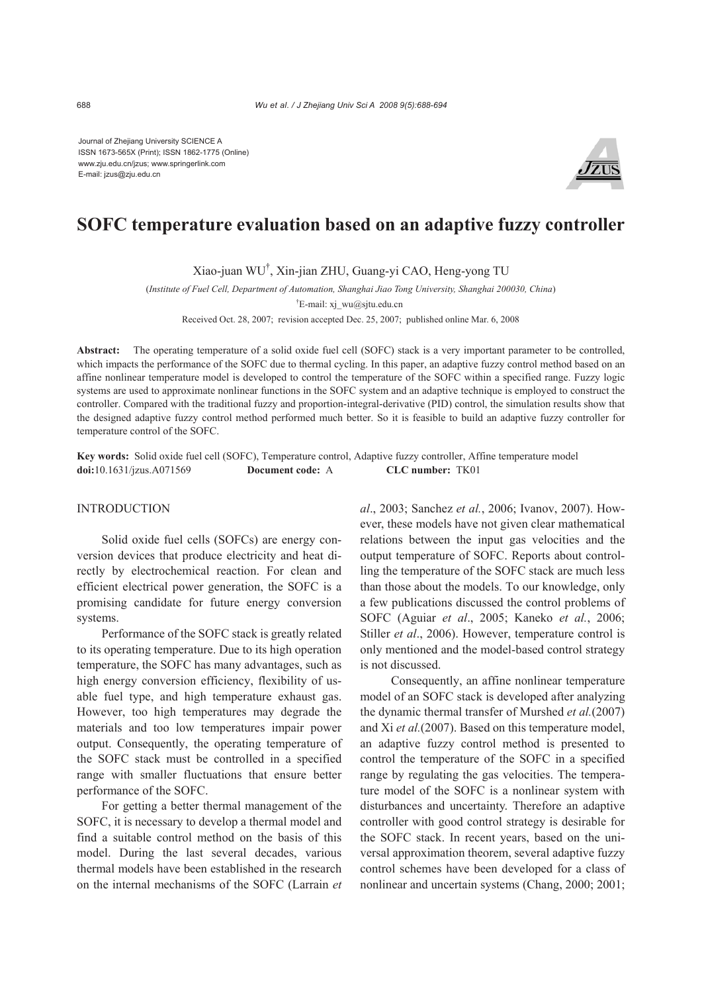Journal of Zhejiang University SCIENCE A ISSN 1673-565X (Print); ISSN 1862-1775 (Online) www.zju.edu.cn/jzus; www.springerlink.com E-mail: jzus@zju.edu.cn



# **SOFC temperature evaluation based on an adaptive fuzzy controller**

Xiao-juan WU† , Xin-jian ZHU, Guang-yi CAO, Heng-yong TU

(*Institute of Fuel Cell, Department of Automation, Shanghai Jiao Tong University, Shanghai 200030, China*)

† E-mail: xj\_wu@sjtu.edu.cn

Received Oct. 28, 2007; revision accepted Dec. 25, 2007; published online Mar. 6, 2008

**Abstract:** The operating temperature of a solid oxide fuel cell (SOFC) stack is a very important parameter to be controlled, which impacts the performance of the SOFC due to thermal cycling. In this paper, an adaptive fuzzy control method based on an affine nonlinear temperature model is developed to control the temperature of the SOFC within a specified range. Fuzzy logic systems are used to approximate nonlinear functions in the SOFC system and an adaptive technique is employed to construct the controller. Compared with the traditional fuzzy and proportion-integral-derivative (PID) control, the simulation results show that the designed adaptive fuzzy control method performed much better. So it is feasible to build an adaptive fuzzy controller for temperature control of the SOFC.

**Key words:** Solid oxide fuel cell (SOFC), Temperature control, Adaptive fuzzy controller, Affine temperature model **doi:**10.1631/jzus.A071569 **Document code:** A **CLC number:** TK01

# INTRODUCTION

Solid oxide fuel cells (SOFCs) are energy conversion devices that produce electricity and heat directly by electrochemical reaction. For clean and efficient electrical power generation, the SOFC is a promising candidate for future energy conversion systems.

Performance of the SOFC stack is greatly related to its operating temperature. Due to its high operation temperature, the SOFC has many advantages, such as high energy conversion efficiency, flexibility of usable fuel type, and high temperature exhaust gas. However, too high temperatures may degrade the materials and too low temperatures impair power output. Consequently, the operating temperature of the SOFC stack must be controlled in a specified range with smaller fluctuations that ensure better performance of the SOFC.

For getting a better thermal management of the SOFC, it is necessary to develop a thermal model and find a suitable control method on the basis of this model. During the last several decades, various thermal models have been established in the research on the internal mechanisms of the SOFC (Larrain *et*  *al*., 2003; Sanchez *et al.*, 2006; Ivanov, 2007). However, these models have not given clear mathematical relations between the input gas velocities and the output temperature of SOFC. Reports about controlling the temperature of the SOFC stack are much less than those about the models. To our knowledge, only a few publications discussed the control problems of SOFC (Aguiar *et al*., 2005; Kaneko *et al.*, 2006; Stiller *et al*., 2006). However, temperature control is only mentioned and the model-based control strategy is not discussed.

Consequently, an affine nonlinear temperature model of an SOFC stack is developed after analyzing the dynamic thermal transfer of Murshed *et al.*(2007) and Xi *et al.*(2007). Based on this temperature model, an adaptive fuzzy control method is presented to control the temperature of the SOFC in a specified range by regulating the gas velocities. The temperature model of the SOFC is a nonlinear system with disturbances and uncertainty. Therefore an adaptive controller with good control strategy is desirable for the SOFC stack. In recent years, based on the universal approximation theorem, several adaptive fuzzy control schemes have been developed for a class of nonlinear and uncertain systems (Chang, 2000; 2001;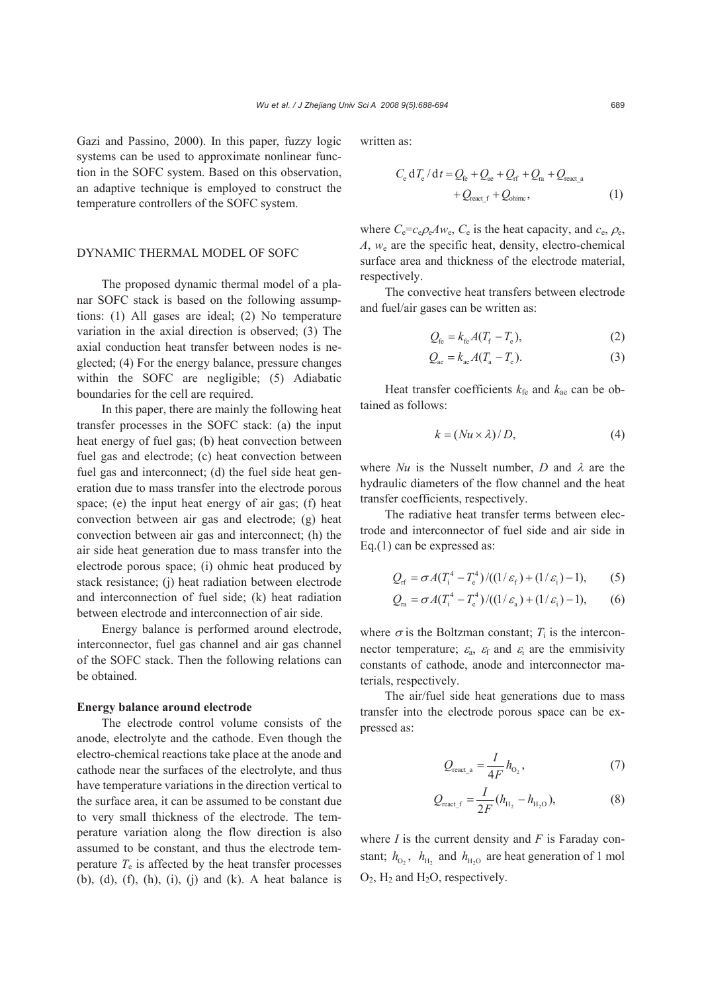Gazi and Passino, 2000). In this paper, fuzzy logic systems can be used to approximate nonlinear function in the SOFC system. Based on this observation, an adaptive technique is employed to construct the temperature controllers of the SOFC system.

# DYNAMIC THERMAL MODEL OF SOFC

The proposed dynamic thermal model of a planar SOFC stack is based on the following assumptions: (1) All gases are ideal; (2) No temperature variation in the axial direction is observed; (3) The axial conduction heat transfer between nodes is neglected; (4) For the energy balance, pressure changes within the SOFC are negligible; (5) Adiabatic boundaries for the cell are required.

In this paper, there are mainly the following heat transfer processes in the SOFC stack: (a) the input heat energy of fuel gas; (b) heat convection between fuel gas and electrode; (c) heat convection between fuel gas and interconnect; (d) the fuel side heat generation due to mass transfer into the electrode porous space; (e) the input heat energy of air gas; (f) heat convection between air gas and electrode; (g) heat convection between air gas and interconnect; (h) the air side heat generation due to mass transfer into the electrode porous space; (i) ohmic heat produced by stack resistance; (j) heat radiation between electrode and interconnection of fuel side; (k) heat radiation between electrode and interconnection of air side.

Energy balance is performed around electrode, interconnector, fuel gas channel and air gas channel of the SOFC stack. Then the following relations can be obtained.

#### **Energy balance around electrode**

The electrode control volume consists of the anode, electrolyte and the cathode. Even though the electro-chemical reactions take place at the anode and cathode near the surfaces of the electrolyte, and thus have temperature variations in the direction vertical to the surface area, it can be assumed to be constant due to very small thickness of the electrode. The temperature variation along the flow direction is also assumed to be constant, and thus the electrode temperature  $T_e$  is affected by the heat transfer processes (b), (d), (f), (h), (i), (j) and (k). A heat balance is written as:

$$
C_{\rm e} dT_{\rm e}/dt = Q_{\rm fe} + Q_{\rm ae} + Q_{\rm rf} + Q_{\rm ra} + Q_{\rm react_a}
$$
  
+ 
$$
Q_{\rm react_f} + Q_{\rm ohime}, \qquad (1)
$$

where  $C_e = c_e \rho_e A w_e$ ,  $C_e$  is the heat capacity, and  $c_e$ ,  $\rho_e$ , *A*, *w*e are the specific heat, density, electro-chemical surface area and thickness of the electrode material, respectively.

The convective heat transfers between electrode and fuel/air gases can be written as:

$$
Q_{\text{fe}} = k_{\text{fe}} A (T_{\text{f}} - T_{\text{e}}), \tag{2}
$$

$$
Q_{\text{ae}} = k_{\text{ae}}A(T_{\text{a}} - T_{\text{e}}). \tag{3}
$$

Heat transfer coefficients  $k_{\text{fe}}$  and  $k_{\text{ae}}$  can be obtained as follows:

$$
k = (Nu \times \lambda) / D, \tag{4}
$$

where  $Nu$  is the Nusselt number, *D* and  $\lambda$  are the hydraulic diameters of the flow channel and the heat transfer coefficients, respectively.

The radiative heat transfer terms between electrode and interconnector of fuel side and air side in Eq.(1) can be expressed as:

$$
Q_{\rm rf} = \sigma A (T_{\rm i}^4 - T_{\rm e}^4) / ((1/\varepsilon_{\rm f}) + (1/\varepsilon_{\rm i}) - 1), \qquad (5)
$$

$$
Q_{\rm ra} = \sigma A (T_{\rm i}^4 - T_{\rm e}^4) / ((1/\varepsilon_{\rm a}) + (1/\varepsilon_{\rm i}) - 1), \qquad (6)
$$

where  $\sigma$  is the Boltzman constant;  $T_i$  is the interconnector temperature;  $\varepsilon_a$ ,  $\varepsilon_f$  and  $\varepsilon_i$  are the emmisivity constants of cathode, anode and interconnector materials, respectively.

The air/fuel side heat generations due to mass transfer into the electrode porous space can be expressed as:

$$
Q_{\text{react}\_\text{a}} = \frac{I}{4F} h_{0_2},\tag{7}
$$

$$
Q_{\text{react}_{-}f} = \frac{I}{2F} (h_{\text{H}_2} - h_{\text{H}_2\text{O}}),
$$
 (8)

where  $I$  is the current density and  $F$  is Faraday constant;  $h_{\text{o}_2}$ ,  $h_{\text{H}_2}$  and  $h_{\text{H}_2}$  are heat generation of 1 mol  $O_2$ ,  $H_2$  and  $H_2O$ , respectively.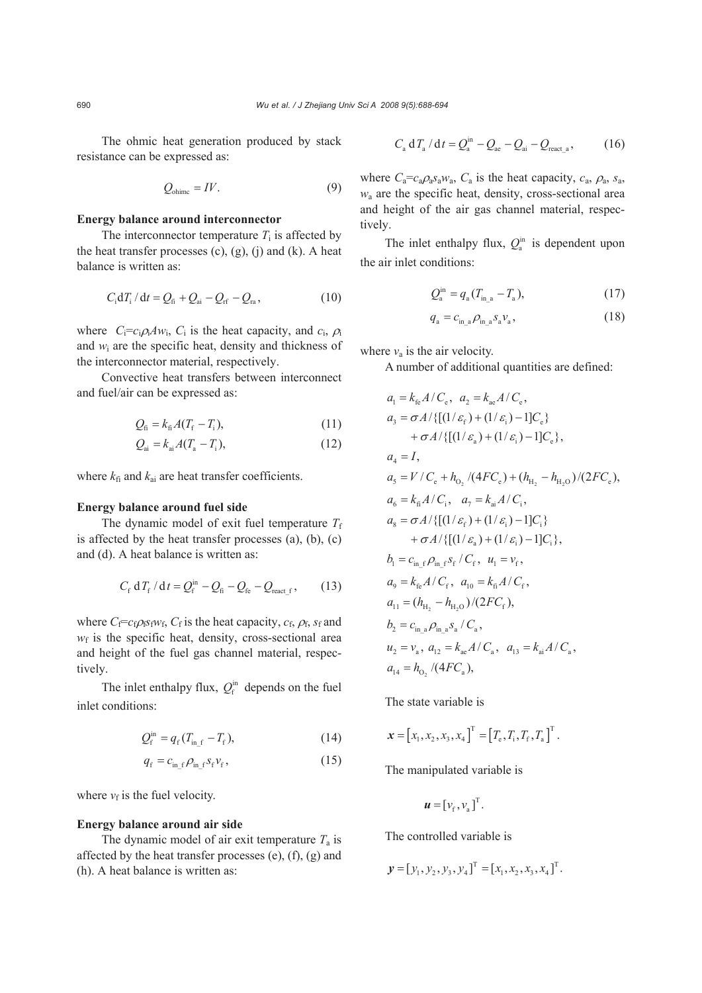The ohmic heat generation produced by stack resistance can be expressed as:

$$
Q_{\text{ohime}} = IV. \tag{9}
$$

#### **Energy balance around interconnector**

The interconnector temperature  $T_i$  is affected by the heat transfer processes  $(c)$ ,  $(g)$ ,  $(i)$  and  $(k)$ . A heat balance is written as:

$$
C_{\rm i} dT_{\rm i}/dt = Q_{\rm fi} + Q_{\rm ai} - Q_{\rm rf} - Q_{\rm ra},\tag{10}
$$

where  $C_i = c_i \rho A w_i$ ,  $C_i$  is the heat capacity, and  $c_i$ ,  $\rho_i$ and  $w_i$  are the specific heat, density and thickness of the interconnector material, respectively.

Convective heat transfers between interconnect and fuel/air can be expressed as:

$$
Q_{\rm fi} = k_{\rm fi} A (T_{\rm f} - T_{\rm i}),\tag{11}
$$

$$
Q_{ai} = k_{ai}A(T_a - T_i), \qquad (12)
$$

where  $k_{fi}$  and  $k_{ai}$  are heat transfer coefficients.

# **Energy balance around fuel side**

The dynamic model of exit fuel temperature  $T_f$ is affected by the heat transfer processes (a), (b), (c) and (d). A heat balance is written as:

$$
C_{\rm f} dT_{\rm f}/dt = Q_{\rm f}^{\rm in} - Q_{\rm fi} - Q_{\rm fe} - Q_{\rm react\_f},\qquad(13)
$$

where  $C_f = c_f \rho_f s_f w_f$ ,  $C_f$  is the heat capacity,  $c_f$ ,  $\rho_f$ ,  $s_f$  and  $w_f$  is the specific heat, density, cross-sectional area and height of the fuel gas channel material, respectively.

The inlet enthalpy flux,  $Q_f^{\text{in}}$  depends on the fuel inlet conditions:

$$
Q_{\rm f}^{\rm in} = q_{\rm f} (T_{\rm in \ f} - T_{\rm f}), \tag{14}
$$

$$
q_{\rm f} = c_{\rm in\ f} \rho_{\rm in\ f} s_{\rm f} v_{\rm f},\tag{15}
$$

where  $v_f$  is the fuel velocity.

## **Energy balance around air side**

The dynamic model of air exit temperature  $T_a$  is affected by the heat transfer processes (e), (f), (g) and (h). A heat balance is written as:

$$
C_{\rm a} dT_{\rm a} / dt = Q_{\rm a}^{\rm in} - Q_{\rm ae} - Q_{\rm ai} - Q_{\rm react\_a}, \qquad (16)
$$

where  $C_a = c_a \rho_a s_a w_a$ ,  $C_a$  is the heat capacity,  $c_a$ ,  $\rho_a$ ,  $s_a$ , *w*a are the specific heat, density, cross-sectional area and height of the air gas channel material, respectively.

The inlet enthalpy flux,  $Q_a^{\text{in}}$  is dependent upon the air inlet conditions:

$$
Q_{\rm a}^{\rm in} = q_{\rm a} (T_{\rm in\ a} - T_{\rm a}), \tag{17}
$$

$$
q_{\rm a} = c_{\rm in}{}_{\rm a} \rho_{\rm in}{}_{\rm a} s_{\rm a} v_{\rm a},\tag{18}
$$

where  $v_a$  is the air velocity.

A number of additional quantities are defined:

$$
a_{1} = k_{\text{fe}} A / C_{\text{e}}, \quad a_{2} = k_{\text{ae}} A / C_{\text{e}},
$$
\n
$$
a_{3} = \sigma A / \{[(1/\varepsilon_{\text{f}}) + (1/\varepsilon_{\text{i}}) - 1]C_{\text{e}}\} + \sigma A / \{[(1/\varepsilon_{\text{a}}) + (1/\varepsilon_{\text{i}}) - 1]C_{\text{e}}\},
$$
\n
$$
a_{4} = I,
$$
\n
$$
a_{5} = V / C_{\text{e}} + h_{\text{O}_{2}} / (4FC_{\text{e}}) + (h_{\text{H}_{2}} - h_{\text{H}_{2}\text{O}}) / (2FC_{\text{e}}),
$$
\n
$$
a_{6} = k_{\text{fi}} A / C_{\text{i}}, \quad a_{7} = k_{\text{ai}} A / C_{\text{i}},
$$
\n
$$
a_{8} = \sigma A / \{[(1/\varepsilon_{\text{f}}) + (1/\varepsilon_{\text{i}}) - 1]C_{\text{i}}\} + \sigma A / \{[(1/\varepsilon_{\text{a}}) + (1/\varepsilon_{\text{i}}) - 1]C_{\text{i}}\},
$$
\n
$$
b_{1} = c_{\text{in}_{\perp}f} \rho_{\text{in}_{\perp}f} s_{\text{f}} / C_{\text{f}}, \quad u_{1} = v_{\text{f}},
$$
\n
$$
a_{9} = k_{\text{fe}} A / C_{\text{f}}, \quad a_{10} = k_{\text{fi}} A / C_{\text{f}},
$$
\n
$$
a_{11} = (h_{\text{H}_{2}} - h_{\text{H}_{2}\text{O}}) / (2FC_{\text{f}}),
$$
\n
$$
b_{2} = c_{\text{in}_{\perp}a} \rho_{\text{in}_{\perp}a} s_{\text{a}} / C_{\text{a}},
$$
\n
$$
u_{2} = v_{\text{a}}, \quad a_{12} = k_{\text{ae}} A / C_{\text{a}}, \quad a_{13} = k_{\text{ai}} A / C_{\text{a}},
$$
\n
$$
a_{14} = h_{\text{O}_{2}} / (4FC_{\text{a}}),
$$

The state variable is

$$
\mathbf{x} = [x_1, x_2, x_3, x_4]^T = [T_e, T_i, T_f, T_a]^T.
$$

The manipulated variable is

$$
\boldsymbol{u} = [\nu_{\mathrm{f}}, \nu_{\mathrm{a}}]^{\mathrm{T}}.
$$

The controlled variable is

$$
\mathbf{y} = [y_1, y_2, y_3, y_4]^{\mathrm{T}} = [x_1, x_2, x_3, x_4]^{\mathrm{T}}.
$$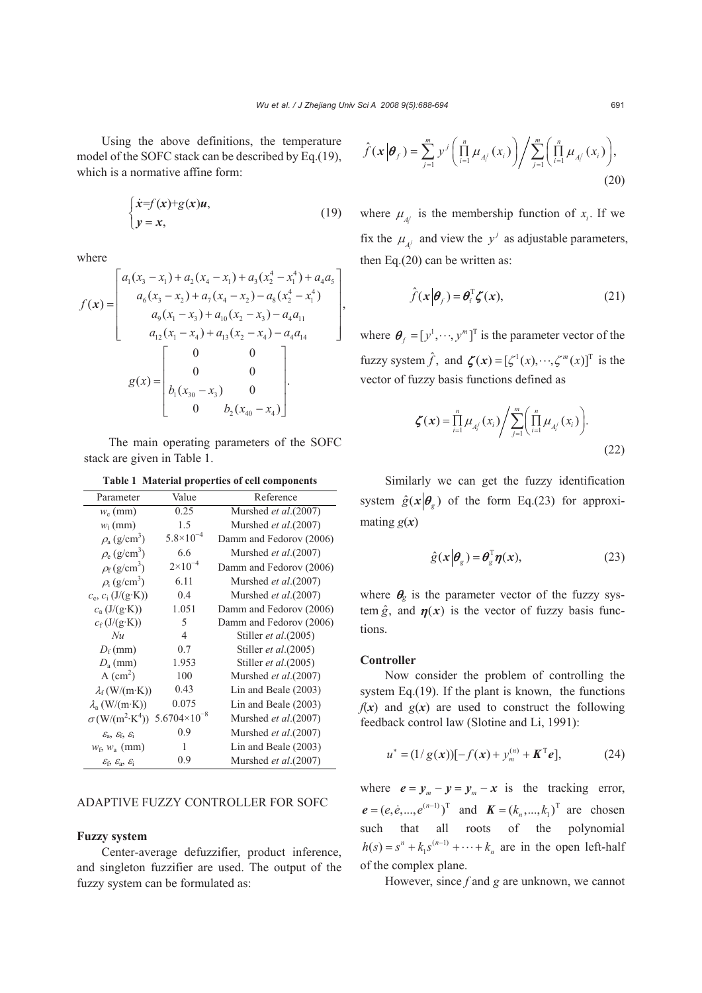Using the above definitions, the temperature model of the SOFC stack can be described by Eq.(19), which is a normative affine form:

$$
\begin{cases} \dot{x} = f(x) + g(x)u, \\ y = x, \end{cases}
$$
 (19)

where

$$
f(\mathbf{x}) = \begin{bmatrix} a_1(x_3 - x_1) + a_2(x_4 - x_1) + a_3(x_2^4 - x_1^4) + a_4a_5 \ a_6(x_3 - x_2) + a_7(x_4 - x_2) - a_8(x_2^4 - x_1^4) \ a_9(x_1 - x_3) + a_{10}(x_2 - x_3) - a_4a_{11} \ a_{12}(x_1 - x_4) + a_{13}(x_2 - x_4) - a_4a_{14} \end{bmatrix},
$$

$$
g(\mathbf{x}) = \begin{bmatrix} 0 & 0 \ b_1(x_{30} - x_3) & 0 \ b_2(x_{40} - x_4) \end{bmatrix}.
$$

The main operating parameters of the SOFC stack are given in Table 1.

**Table 1 Material properties of cell components** 

| Parameter                                                                | Value                | Reference                    |
|--------------------------------------------------------------------------|----------------------|------------------------------|
| $w_e$ (mm)                                                               | 0.25                 | Murshed <i>et al.</i> (2007) |
| $w_i$ (mm)                                                               | 1.5                  | Murshed <i>et al.</i> (2007) |
| $\rho_a$ (g/cm <sup>3</sup> )                                            | $5.8 \times 10^{-4}$ | Damm and Fedorov (2006)      |
| $\rho_e$ (g/cm <sup>3</sup> )                                            | 6.6                  | Murshed <i>et al.</i> (2007) |
| $\rho_f$ (g/cm <sup>3</sup> )                                            | $2 \times 10^{-4}$   | Damm and Fedorov (2006)      |
| $\rho_i$ (g/cm <sup>3</sup> )                                            | 6.11                 | Murshed et al.(2007)         |
| $c_e, c_i (J/(g·K))$                                                     | 0.4                  | Murshed et al.(2007)         |
| $c_a$ (J/(g·K))                                                          | 1.051                | Damm and Fedorov (2006)      |
| $c_f(J/(g K))$                                                           | 5                    | Damm and Fedorov (2006)      |
| Nu                                                                       | 4                    | Stiller <i>et al</i> .(2005) |
| $D_{\rm f}$ (mm)                                                         | 0.7                  | Stiller et al.(2005)         |
| $D_{\rm a}$ (mm)                                                         | 1.953                | Stiller <i>et al.</i> (2005) |
| $A$ (cm <sup>2</sup> )                                                   | 100                  | Murshed <i>et al.</i> (2007) |
| $\lambda_f(W/(m\cdot K))$                                                | 0.43                 | Lin and Beale $(2003)$       |
| $\lambda_{\rm a}$ (W/(m·K))                                              | 0.075                | Lin and Beale $(2003)$       |
| $\sigma(W/(m^2 \cdot K^4))$ 5.6704×10 <sup>-8</sup>                      |                      | Murshed <i>et al.</i> (2007) |
| $\mathcal{E}_a$ , $\mathcal{E}_f$ , $\mathcal{E}_i$                      | 0.9                  | Murshed et al. (2007)        |
| $w_f$ , $w_a$ (mm)                                                       | 1                    | Lin and Beale $(2003)$       |
| $\mathcal{E}_{\text{f}}, \mathcal{E}_{\text{a}}, \mathcal{E}_{\text{i}}$ | 0.9                  | Murshed <i>et al.</i> (2007) |

## ADAPTIVE FUZZY CONTROLLER FOR SOFC

#### **Fuzzy system**

Center-average defuzzifier, product inference, and singleton fuzzifier are used. The output of the fuzzy system can be formulated as:

$$
\hat{f}(\mathbf{x}|\boldsymbol{\theta}_f) = \sum_{j=1}^m y^j \left( \prod_{i=1}^n \mu_{A_i^j}(\mathbf{x}_i) \right) / \sum_{j=1}^m \left( \prod_{i=1}^n \mu_{A_i^j}(\mathbf{x}_i) \right),
$$
\n(20)

where  $\mu_{\hat{A}_i}$  is the membership function of  $x_i$ . If we fix the  $\mu_{\mathcal{A}_i}$  and view the  $y^j$  as adjustable parameters, then Eq. $(20)$  can be written as:

$$
\hat{f}(x|\theta_f) = \theta_f^{\mathrm{T}} \zeta(x),\tag{21}
$$

where  $\boldsymbol{\theta}_f = [y^1, \dots, y^m]^T$  is the parameter vector of the fuzzy system  $\hat{f}$ , and  $\zeta(x) = [\zeta^1(x), \dots, \zeta^m(x)]^T$  is the vector of fuzzy basis functions defined as

$$
\zeta(x) = \prod_{i=1}^{n} \mu_{A_i}(x_i) / \sum_{j=1}^{m} \left( \prod_{i=1}^{n} \mu_{A_i}(x_i) \right).
$$
 (22)

Similarly we can get the fuzzy identification system  $\hat{g}(x|\theta)$  of the form Eq.(23) for approximating  $g(x)$ 

$$
\hat{g}(x|\theta_{g}) = \theta_{g}^{T}\eta(x),
$$
\n(23)

where  $\theta_g$  is the parameter vector of the fuzzy system  $\hat{g}$ , and  $\eta(x)$  is the vector of fuzzy basis functions.

## **Controller**

Now consider the problem of controlling the system Eq.(19). If the plant is known, the functions  $f(x)$  and  $g(x)$  are used to construct the following feedback control law (Slotine and Li, 1991):

$$
u^* = (1/g(x))[-f(x) + y_m^{(n)} + K^{\mathrm{T}}e], \tag{24}
$$

where  $e = y_m - y = y_m - x$  is the tracking error,  $e = (e, \dot{e}, ..., e^{(n-1)})^T$  and  $\boldsymbol{K} = (k_n, ..., k_1)^T$  are chosen such that all roots of the polynomial  $h(s) = s^n + k_1 s^{(n-1)} + \cdots + k_n$  are in the open left-half of the complex plane.

However, since *f* and *g* are unknown, we cannot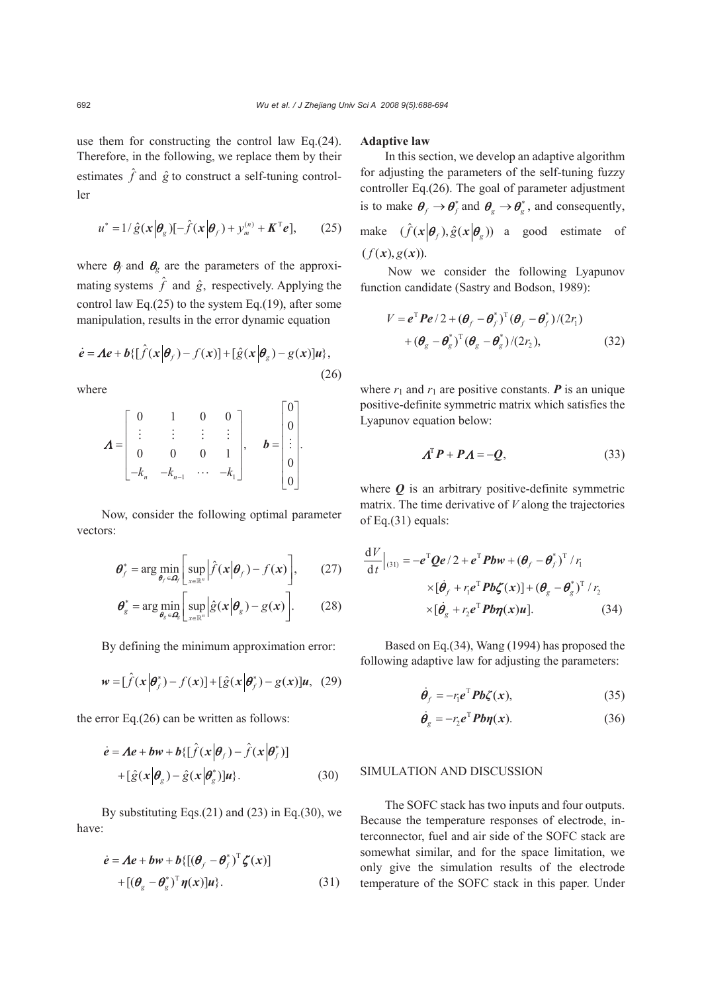use them for constructing the control law Eq.(24). Therefore, in the following, we replace them by their estimates  $\hat{f}$  and  $\hat{g}$  to construct a self-tuning controller

$$
u^* = 1/\hat{g}(x|\boldsymbol{\theta}_g)[-\hat{f}(x|\boldsymbol{\theta}_f) + y_m^{(n)} + K^{\mathrm{T}}\boldsymbol{e}], \qquad (25)
$$

where  $\theta_f$  and  $\theta_g$  are the parameters of the approximating systems  $\hat{f}$  and  $\hat{g}$ , respectively. Applying the control law Eq. $(25)$  to the system Eq. $(19)$ , after some manipulation, results in the error dynamic equation

$$
\dot{\mathbf{e}} = A\mathbf{e} + \mathbf{b}\{[\hat{f}(\mathbf{x}|\boldsymbol{\theta}_f) - f(\mathbf{x})] + [\hat{g}(\mathbf{x}|\boldsymbol{\theta}_g) - g(\mathbf{x})]\mathbf{u}\},\tag{26}
$$

where

$$
\boldsymbol{\Lambda} = \begin{bmatrix} 0 & 1 & 0 & 0 \\ \vdots & \vdots & \vdots & \vdots \\ 0 & 0 & 0 & 1 \\ -k_n & -k_{n-1} & \cdots & -k_1 \end{bmatrix}, \quad \boldsymbol{b} = \begin{bmatrix} 0 \\ 0 \\ \vdots \\ 0 \\ 0 \end{bmatrix}.
$$

Now, consider the following optimal parameter vectors:

$$
\boldsymbol{\theta}_{f}^{*} = \arg \min_{\boldsymbol{\theta}_{f} \in \boldsymbol{A}_{f}} \left[ \sup_{x \in \mathbb{R}^{n}} \left| \hat{f}(x | \boldsymbol{\theta}_{f}) - f(x) \right. \right], \qquad (27)
$$

$$
\boldsymbol{\theta}_{g}^{*} = \arg \min_{\boldsymbol{\theta}_{g} \in \boldsymbol{\Omega}_{g}} \left[ \sup_{x \in \mathbb{R}^{n}} \left| \hat{g}(x | \boldsymbol{\theta}_{g}) - g(x) \right. \right]. \tag{28}
$$

By defining the minimum approximation error:

$$
w = [\hat{f}(x|\theta_{f}^{*}) - f(x)] + [\hat{g}(x|\theta_{f}^{*}) - g(x)]u, (29)
$$

the error Eq.(26) can be written as follows:

$$
\dot{e} = Ae + bw + b\{[\hat{f}(x|\theta_f) - \hat{f}(x|\theta_f)]\} + [\hat{g}(x|\theta_g) - \hat{g}(x|\theta_g^*)]u\}.
$$
\n(30)

By substituting Eqs. $(21)$  and  $(23)$  in Eq. $(30)$ , we have:

$$
\dot{e} = Ae + bw + b\{[(\theta_f - \theta_f^*)^T \zeta(x)] + [(\theta_g - \theta_g^*)^T \eta(x)]u\}.
$$
\n(31)

### **Adaptive law**

In this section, we develop an adaptive algorithm for adjusting the parameters of the self-tuning fuzzy controller Eq.(26). The goal of parameter adjustment is to make  $\theta_f \rightarrow \theta_f^*$  and  $\theta_g \rightarrow \theta_g^*$ , and consequently, make  $(\hat{f}(x|\theta_f), \hat{g}(x|\theta_g))$  a good estimate of  $(f(x), g(x))$ .

 Now we consider the following Lyapunov function candidate (Sastry and Bodson, 1989):

$$
V = e^{\mathrm{T}} \boldsymbol{P} e / 2 + (\boldsymbol{\theta}_f - \boldsymbol{\theta}_f^*)^{\mathrm{T}} (\boldsymbol{\theta}_f - \boldsymbol{\theta}_f^*) / (2r_1)
$$
  
+ 
$$
(\boldsymbol{\theta}_g - \boldsymbol{\theta}_g^*)^{\mathrm{T}} (\boldsymbol{\theta}_g - \boldsymbol{\theta}_g^*) / (2r_2),
$$
 (32)

where  $r_1$  and  $r_1$  are positive constants. **P** is an unique positive-definite symmetric matrix which satisfies the Lyapunov equation below:

$$
\boldsymbol{\Lambda}^{\!\mathrm{T}}\boldsymbol{P} + \boldsymbol{P}\boldsymbol{\Lambda} = -\boldsymbol{Q},\tag{33}
$$

where *Q* is an arbitrary positive-definite symmetric matrix. The time derivative of *V* along the trajectories of Eq.(31) equals:

$$
\frac{dV}{dt}\Big|_{(31)} = -e^{\mathrm{T}} \mathbf{Q}e/2 + e^{\mathrm{T}} \mathbf{P}b w + (\mathbf{\theta}_f - \mathbf{\theta}_f^*)^{\mathrm{T}} / r_1
$$
  
×[ $\dot{\mathbf{\theta}}_f + r_1 e^{\mathrm{T}} \mathbf{P}b \zeta(x)$ ] + ( $\mathbf{\theta}_g - \mathbf{\theta}_g^* \mathbf{V}^{\mathrm{T}} / r_2$   
×[ $\dot{\mathbf{\theta}}_g + r_2 e^{\mathrm{T}} \mathbf{P}b \eta(x)u$ ]. (34)

Based on Eq.(34), Wang (1994) has proposed the following adaptive law for adjusting the parameters:

$$
\dot{\theta}_f = -r_1 e^{\mathrm{T}} P b \zeta(x), \qquad (35)
$$

$$
\dot{\theta}_g = -r_2 e^{\mathrm{T}} P b \eta(x). \tag{36}
$$

## SIMULATION AND DISCUSSION

The SOFC stack has two inputs and four outputs. Because the temperature responses of electrode, interconnector, fuel and air side of the SOFC stack are somewhat similar, and for the space limitation, we only give the simulation results of the electrode temperature of the SOFC stack in this paper. Under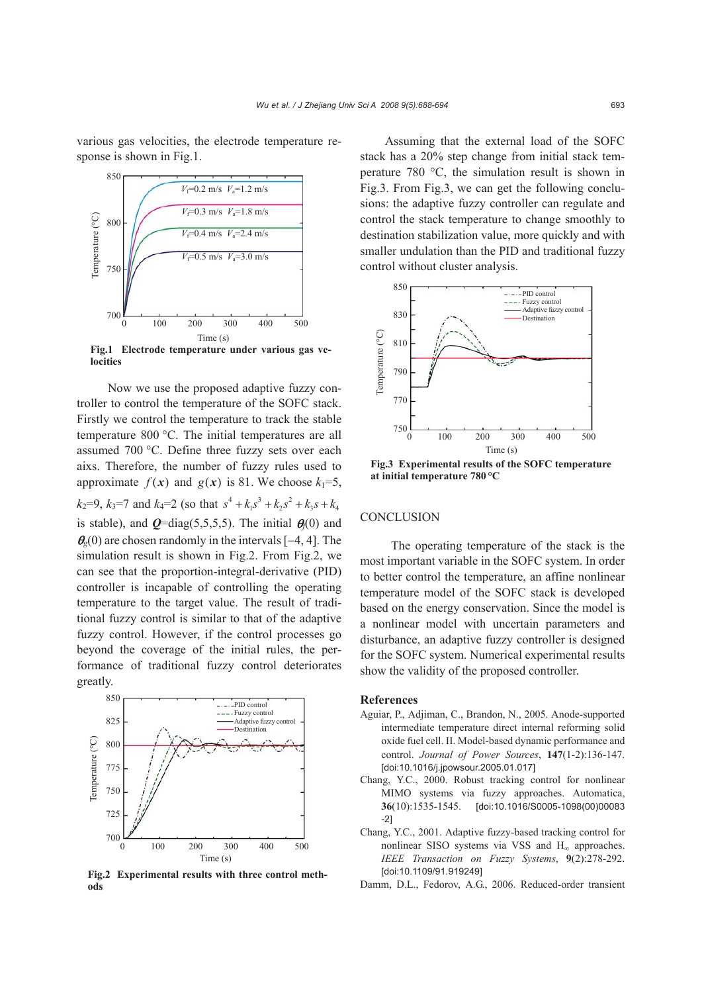various gas velocities, the electrode temperature response is shown in Fig.1.



**Fig.1 Electrode temperature under various gas velocities** 

Now we use the proposed adaptive fuzzy controller to control the temperature of the SOFC stack. Firstly we control the temperature to track the stable temperature 800 °C. The initial temperatures are all assumed 700 °C. Define three fuzzy sets over each aixs. Therefore, the number of fuzzy rules used to approximate  $f(x)$  and  $g(x)$  is 81. We choose  $k_1=5$ ,  $k_2=9, k_3=7 \text{ and } k_4=2 \text{ (so that } s^4 + k_1 s^3 + k_2 s^2 + k_3 s + k_4$ is stable), and  $Q = diag(5,5,5,5)$ . The initial  $\theta_i(0)$  and <sup>θ</sup>*g*(0) are chosen randomly in the intervals [−4, 4]. The simulation result is shown in Fig.2. From Fig.2, we can see that the proportion-integral-derivative (PID) controller is incapable of controlling the operating temperature to the target value. The result of traditional fuzzy control is similar to that of the adaptive fuzzy control. However, if the control processes go beyond the coverage of the initial rules, the performance of traditional fuzzy control deteriorates greatly.



**Fig.2 Experimental results with three control methods** 

Assuming that the external load of the SOFC stack has a 20% step change from initial stack temperature 780 °C, the simulation result is shown in Fig.3. From Fig.3, we can get the following conclusions: the adaptive fuzzy controller can regulate and control the stack temperature to change smoothly to destination stabilization value, more quickly and with smaller undulation than the PID and traditional fuzzy control without cluster analysis.



**Fig.3 Experimental results of the SOFC temperature at initial temperature 780 °C**

# **CONCLUSION**

The operating temperature of the stack is the most important variable in the SOFC system. In order to better control the temperature, an affine nonlinear temperature model of the SOFC stack is developed based on the energy conservation. Since the model is a nonlinear model with uncertain parameters and disturbance, an adaptive fuzzy controller is designed for the SOFC system. Numerical experimental results show the validity of the proposed controller.

#### **References**

- Aguiar, P., Adjiman, C., Brandon, N., 2005. Anode-supported intermediate temperature direct internal reforming solid oxide fuel cell. II. Model-based dynamic performance and control. *Journal of Power Sources*, **147**(1-2):136-147. [doi:10.1016/j.jpowsour.2005.01.017]
- Chang, Y.C., 2000. Robust tracking control for nonlinear MIMO systems via fuzzy approaches. Automatica, **36**(10):1535-1545. [doi:10.1016/S0005-1098(00)00083 -2]
- Chang, Y.C., 2001. Adaptive fuzzy-based tracking control for nonlinear SISO systems via VSS and  $H_{\infty}$  approaches. *IEEE Transaction on Fuzzy Systems*, **9**(2):278-292. [doi:10.1109/91.919249]
- Damm, D.L., Fedorov, A.G., 2006. Reduced-order transient